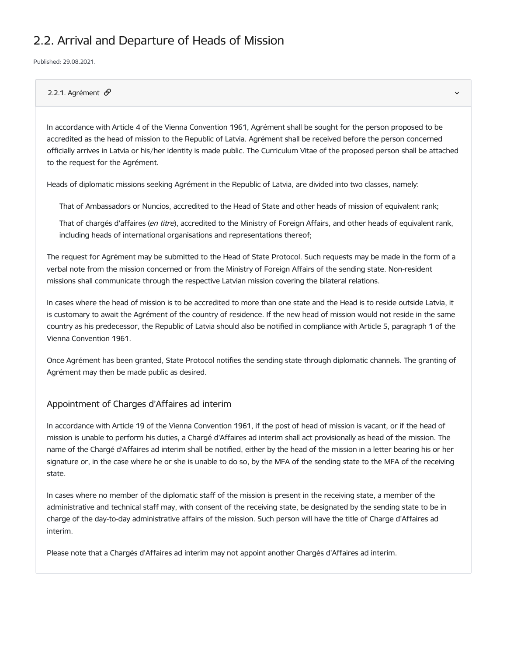# 2.2. Arrival and Departure of Heads of Mission

Published: 29.08.2021.

## 2.2.1. Agrément  $\mathcal{P}$

In accordance with Article 4 of the Vienna Convention 1961, Agrément shall be sought for the person proposed to be accredited as the head of mission to the Republic of Latvia. Agrément shall be received before the person concerned officially arrives in Latvia or his/her identity is made public. The Curriculum Vitae of the proposed person shall be attached to the request for the Agrément.

Heads of diplomatic missions seeking Agrément in the Republic of Latvia, are divided into two classes, namely:

That of Ambassadors or Nuncios, accredited to the Head of State and other heads of mission of equivalent rank;

That of chargés d'affaires (en titre), accredited to the Ministry of Foreign Affairs, and other heads of equivalent rank, including heads of international organisations and representations thereof;

The request for Agrément may be submitted to the Head of State Protocol. Such requests may be made in the form of a verbal note from the mission concerned or from the Ministry of Foreign Affairs of the sending state. Non-resident missions shall communicate through the respective Latvian mission covering the bilateral relations.

In cases where the head of mission is to be accredited to more than one state and the Head is to reside outside Latvia, it is customary to await the Agrément of the country of residence. If the new head of mission would not reside in the same country as his predecessor, the Republic of Latvia should also be notified in compliance with Article 5, paragraph 1 of the Vienna Convention 1961.

Once Agrément has been granted, State Protocol notifies the sending state through diplomatic channels. The granting of Agrément may then be made public as desired.

## Appointment of Charges d'Affaires ad interim

In accordance with Article 19 of the Vienna Convention 1961, if the post of head of mission is vacant, or if the head of mission is unable to perform his duties, a Chargé d'Affaires ad interim shall act provisionally as head of the mission. The name of the Chargé d'Affaires ad interim shall be notified, either by the head of the mission in a letter bearing his or her signature or, in the case where he or she is unable to do so, by the MFA of the sending state to the MFA of the receiving state.

In cases where no member of the diplomatic staff of the mission is present in the receiving state, a member of the administrative and technical staff may, with consent of the receiving state, be designated by the sending state to be in charge of the day-to-day administrative affairs of the mission. Such person will have the title of Charge d'Affaires ad interim.

Please note that a Chargés d'Affaires ad interim may not appoint another Chargés d'Affaires ad interim.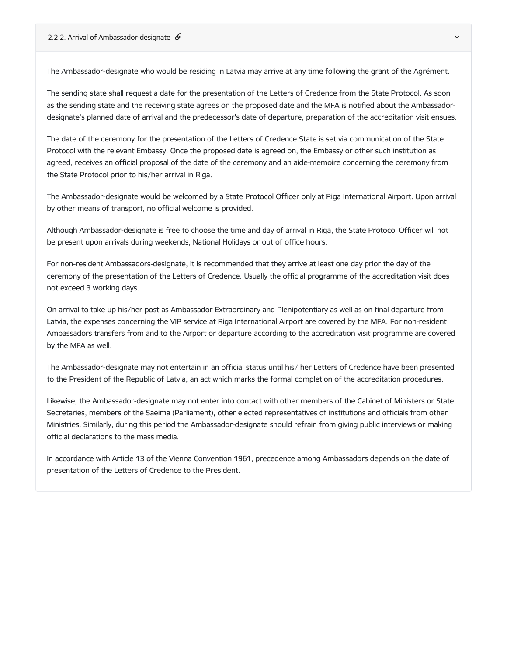The Ambassador-designate who would be residing in Latvia may arrive at any time following the grant of the Agrément.

The sending state shall request a date for the presentation of the Letters of Credence from the State Protocol. As soon as the sending state and the receiving state agrees on the proposed date and the MFA is notified about the Ambassadordesignate's planned date of arrival and the predecessor's date of departure, preparation of the accreditation visit ensues.

The date of the ceremony for the presentation of the Letters of Credence State is set via communication of the State Protocol with the relevant Embassy. Once the proposed date is agreed on, the Embassy or other such institution as agreed, receives an official proposal of the date of the ceremony and an aide-memoire concerning the ceremony from the State Protocol prior to his/her arrival in Riga.

The Ambassador-designate would be welcomed by a State Protocol Officer only at Riga International Airport. Upon arrival by other means of transport, no official welcome is provided.

Although Ambassador-designate is free to choose the time and day of arrival in Riga, the State Protocol Officer will not be present upon arrivals during weekends, National Holidays or out of office hours.

For non-resident Ambassadors-designate, it is recommended that they arrive at least one day prior the day of the ceremony of the presentation of the Letters of Credence. Usually the official programme of the accreditation visit does not exceed 3 working days.

On arrival to take up his/her post as Ambassador Extraordinary and Plenipotentiary as well as on final departure from Latvia, the expenses concerning the VIP service at Riga International Airport are covered by the MFA. For non-resident Ambassadors transfers from and to the Airport or departure according to the accreditation visit programme are covered by the MFA as well.

The Ambassador-designate may not entertain in an official status until his/ her Letters of Credence have been presented to the President of the Republic of Latvia, an act which marks the formal completion of the accreditation procedures.

Likewise, the Ambassador-designate may not enter into contact with other members of the Cabinet of Ministers or State Secretaries, members of the Saeima (Parliament), other elected representatives of institutions and officials from other Ministries. Similarly, during this period the Ambassador-designate should refrain from giving public interviews or making official declarations to the mass media.

In accordance with Article 13 of the Vienna Convention 1961, precedence among Ambassadors depends on the date of presentation of the Letters of Credence to the President.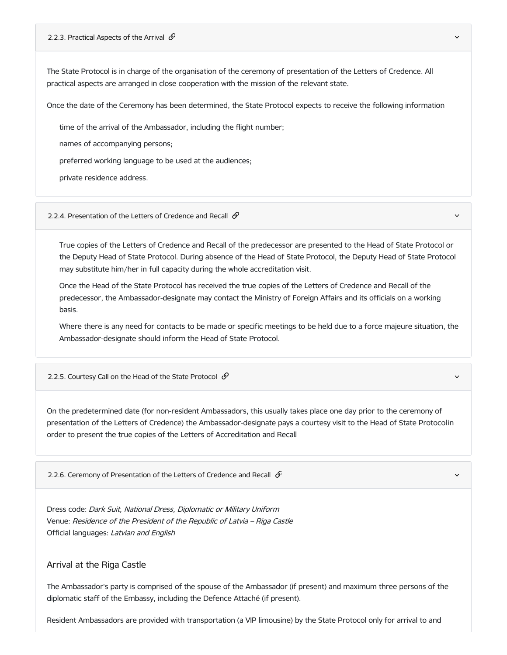#### 2.2.3. Practical Aspects of the Arrival  $\mathcal O$

The State Protocol is in charge of the organisation of the ceremony of presentation of the Letters of Credence. All practical aspects are arranged in close cooperation with the mission of the relevant state.

Once the date of the Ceremony has been determined, the State Protocol expects to receive the following information

time of the arrival of the Ambassador, including the flight number;

names of accompanying persons;

preferred working language to be used at the audiences;

private residence address.

2.2.4. Presentation of the Letters of Credence and Recall  $\mathcal{P}$ 

True copies of the Letters of Credence and Recall of the predecessor are presented to the Head of State Protocol or the Deputy Head of State Protocol. During absence of the Head of State Protocol, the Deputy Head of State Protocol may substitute him/her in full capacity during the whole accreditation visit.

Once the Head of the State Protocol has received the true copies of the Letters of Credence and Recall of the predecessor, the Ambassador-designate may contact the Ministry of Foreign Affairs and its officials on a working basis.

Where there is any need for contacts to be made or specific meetings to be held due to a force majeure situation, the Ambassador-designate should inform the Head of State Protocol.

2.2.5. Courtesy Call on the Head of the State Protocol  $\mathcal O$ 

On the predetermined date (for non-resident Ambassadors, this usually takes place one day prior to the ceremony of presentation of the Letters of Credence) the Ambassador-designate pays a courtesy visit to the Head of State Protocolin order to present the true copies of the Letters of Accreditation and Recall

2.2.6. Ceremony of Presentation of the Letters of Credence and Recall  $\mathcal{S}$ 

Dress code: Dark Suit, National Dress, Diplomatic or Military Uniform Venue: Residence of the President of the Republic of Latvia – Riga Castle Official languages: Latvian and English

## Arrival at the Riga Castle

The Ambassador's party is comprised of the spouse of the Ambassador (if present) and maximum three persons of the diplomatic staff of the Embassy, including the Defence Attaché (if present).

Resident Ambassadors are provided with transportation (a VIP limousine) by the State Protocol only for arrival to and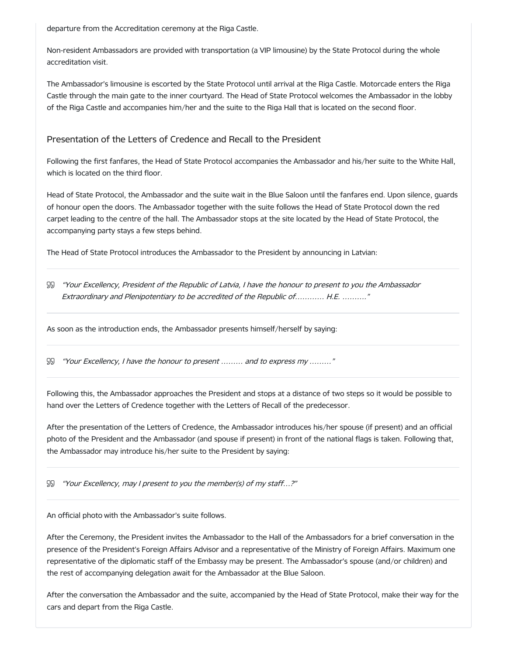departure from the Accreditation ceremony at the Riga Castle.

Non-resident Ambassadors are provided with transportation (a VIP limousine) by the State Protocol during the whole accreditation visit.

The Ambassador's limousine is escorted by the State Protocol until arrival at the Riga Castle. Motorcade enters the Riga Castle through the main gate to the inner courtyard. The Head of State Protocol welcomes the Ambassador in the lobby of the Riga Castle and accompanies him/her and the suite to the Riga Hall that is located on the second floor.

# Presentation of the Letters of Credence and Recall to the President

Following the first fanfares, the Head of State Protocol accompanies the Ambassador and his/her suite to the White Hall, which is located on the third floor.

Head of State Protocol, the Ambassador and the suite wait in the Blue Saloon until the fanfares end. Upon silence, guards of honour open the doors. The Ambassador together with the suite follows the Head of State Protocol down the red carpet leading to the centre of the hall. The Ambassador stops at the site located by the Head of State Protocol, the accompanying party stays a few steps behind.

The Head of State Protocol introduces the Ambassador to the President by announcing in Latvian:

 $\mathbb S$  "Your Excellency, President of the Republic of Latvia, I have the honour to present to you the Ambassador Extraordinary and Plenipotentiary to be accredited of the Republic of………… H.E. ………."

As soon as the introduction ends, the Ambassador presents himself/herself by saying:

"Your Excellency, <sup>I</sup> have the honour to present ……… and to express my ………"

Following this, the Ambassador approaches the President and stops at a distance of two steps so it would be possible to hand over the Letters of Credence together with the Letters of Recall of the predecessor.

After the presentation of the Letters of Credence, the Ambassador introduces his/her spouse (if present) and an official photo of the President and the Ambassador (and spouse if present) in front of the national flags is taken. Following that, the Ambassador may introduce his/her suite to the President by saying:

"Your Excellency, may <sup>I</sup> present to you the member(s) of my staff…?"

An official photo with the Ambassador's suite follows.

After the Ceremony, the President invites the Ambassador to the Hall of the Ambassadors for a brief conversation in the presence of the President's Foreign Affairs Advisor and a representative of the Ministry of Foreign Affairs. Maximum one representative of the diplomatic staff of the Embassy may be present. The Ambassador's spouse (and/or children) and the rest of accompanying delegation await for the Ambassador at the Blue Saloon.

After the conversation the Ambassador and the suite, accompanied by the Head of State Protocol, make their way for the cars and depart from the Riga Castle.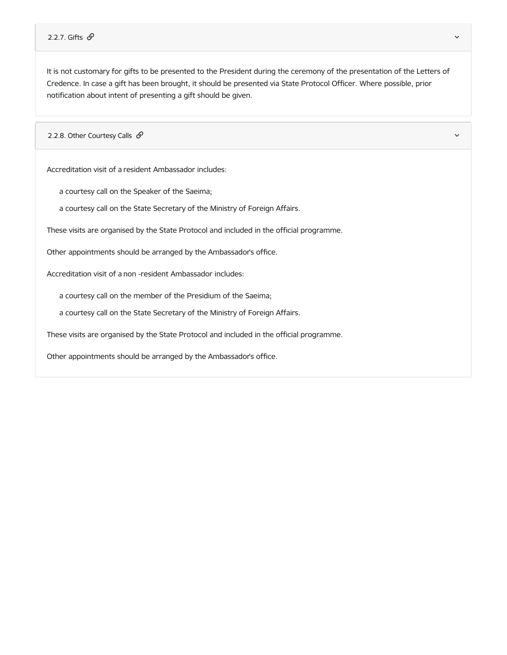#### 2.2.7. Gifts  $\mathscr O$  and  $\mathscr O$  and  $\mathscr O$  and  $\mathscr O$  and  $\mathscr O$  and  $\mathscr O$  and  $\mathscr O$  and  $\mathscr O$  and  $\mathscr O$

It is not customary for gifts to be presented to the President during the ceremony of the presentation of the Letters of Credence. In case a gift has been brought, it should be presented via State Protocol Officer. Where possible, prior notification about intent of presenting a gift should be given.

2.2.8. Other Courtesy Calls  $\mathcal{S}$ 

Accreditation visit of a resident Ambassador includes:

a courtesy call on the Speaker of the Saeima;

a courtesy call on the State Secretary of the Ministry of Foreign Affairs.

These visits are organised by the State Protocol and included in the official programme.

Other appointments should be arranged by the Ambassador's office.

Accreditation visit of a non -resident Ambassador includes:

a courtesy call on the member of the Presidium of the Saeima;

a courtesy call on the State Secretary of the Ministry of Foreign Affairs.

These visits are organised by the State Protocol and included in the official programme.

Other appointments should be arranged by the Ambassador's office.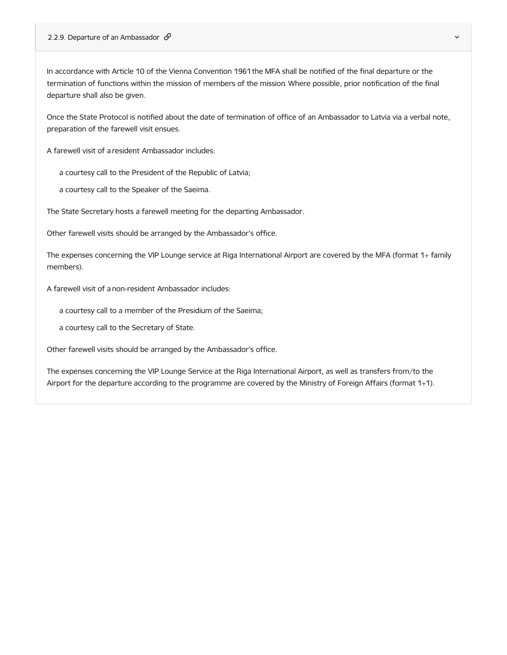In accordance with Article 10 of the Vienna Convention 1961 the MFA shall be notified of the final departure or the termination of functions within the mission of members of the mission. Where possible, prior notification of the final departure shall also be given.

Once the State Protocol is notified about the date of termination of office of an Ambassador to Latvia via a verbal note, preparation of the farewell visit ensues.

A farewell visit of a resident Ambassador includes:

a courtesy call to the President of the Republic of Latvia;

a courtesy call to the Speaker of the Saeima.

The State Secretary hosts a farewell meeting for the departing Ambassador.

Other farewell visits should be arranged by the Ambassador's office.

The expenses concerning the VIP Lounge service at Riga International Airport are covered by the MFA (format 1+ family members).

A farewell visit of a non-resident Ambassador includes:

a courtesy call to a member of the Presidium of the Saeima;

a courtesy call to the Secretary of State.

Other farewell visits should be arranged by the Ambassador's office.

The expenses concerning the VIP Lounge Service at the Riga International Airport, as well as transfers from/to the Airport for the departure according to the programme are covered by the Ministry of Foreign Affairs (format 1+1).